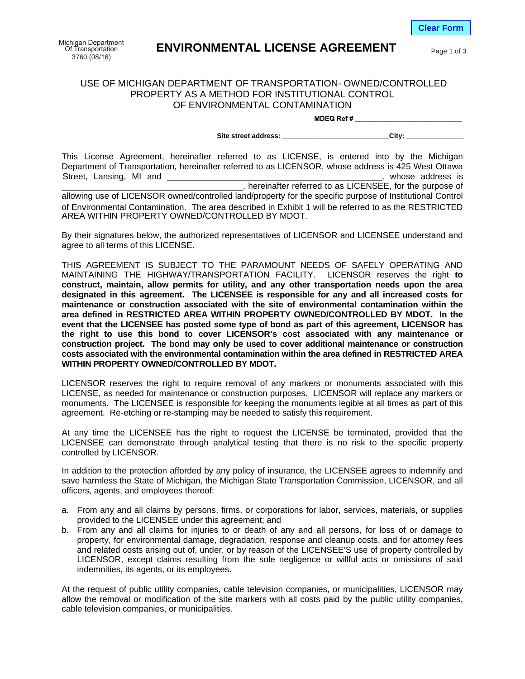**Clear Form**

## **ENVIRONMENTAL LICENSE AGREEMENT**

Page 1 of 3

## USE OF MICHIGAN DEPARTMENT OF TRANSPORTATION- OWNED/CONTROLLED PROPERTY AS A METHOD FOR INSTITUTIONAL CONTROL OF ENVIRONMENTAL CONTAMINATION

**MDEQ Ref # \_\_\_\_\_\_\_\_\_\_\_\_\_\_\_\_\_\_\_\_\_\_\_\_\_\_\_\_**

Site street address: \_\_\_\_\_\_\_\_\_\_\_\_\_\_\_\_\_\_\_\_\_\_\_\_\_\_\_\_\_\_\_\_\_\_City:

This License Agreement, hereinafter referred to as LICENSE, is entered into by the Michigan Department of Transportation, hereinafter referred to as LICENSOR, whose address is 425 West Ottawa \_\_\_\_\_\_\_, hereinafter referred to as LICENSEE, for the purpose of Street, Lansing, MI and

allowing use of LICENSOR owned/controlled land/property for the specific purpose of Institutional Control of Environmental Contamination. The area described in Exhibit 1 will be referred to as the RESTRICTED AREA WITHIN PROPERTY OWNED/CONTROLLED BY MDOT.

By their signatures below, the authorized representatives of LICENSOR and LICENSEE understand and agree to all terms of this LICENSE.

THIS AGREEMENT IS SUBJECT TO THE PARAMOUNT NEEDS OF SAFELY OPERATING AND MAINTAINING THE HIGHWAY/TRANSPORTATION FACILITY. LICENSOR reserves the right **to construct, maintain, allow permits for utility, and any other transportation needs upon the area designated in this agreement. The LICENSEE is responsible for any and all increased costs for maintenance or construction associated with the site of environmental contamination within the area defined in RESTRICTED AREA WITHIN PROPERTY OWNED/CONTROLLED BY MDOT. In the event that the LICENSEE has posted some type of bond as part of this agreement, LICENSOR has the right to use this bond to cover LICENSOR's cost associated with any maintenance or construction project. The bond may only be used to cover additional maintenance or construction costs associated with the environmental contamination within the area defined in RESTRICTED AREA WITHIN PROPERTY OWNED/CONTROLLED BY MDOT.**

LICENSOR reserves the right to require removal of any markers or monuments associated with this LICENSE, as needed for maintenance or construction purposes. LICENSOR will replace any markers or monuments. The LICENSEE is responsible for keeping the monuments legible at all times as part of this agreement. Re-etching or re-stamping may be needed to satisfy this requirement.

At any time the LICENSEE has the right to request the LICENSE be terminated, provided that the LICENSEE can demonstrate through analytical testing that there is no risk to the specific property controlled by LICENSOR.

In addition to the protection afforded by any policy of insurance, the LICENSEE agrees to indemnify and save harmless the State of Michigan, the Michigan State Transportation Commission, LICENSOR, and all officers, agents, and employees thereof:

- a. From any and all claims by persons, firms, or corporations for labor, services, materials, or supplies provided to the LICENSEE under this agreement; and
- b. From any and all claims for injuries to or death of any and all persons, for loss of or damage to property, for environmental damage, degradation, response and cleanup costs, and for attorney fees and related costs arising out of, under, or by reason of the LICENSEE'S use of property controlled by LICENSOR, except claims resulting from the sole negligence or willful acts or omissions of said indemnities, its agents, or its employees.

At the request of public utility companies, cable television companies, or municipalities, LICENSOR may allow the removal or modification of the site markers with all costs paid by the public utility companies, cable television companies, or municipalities.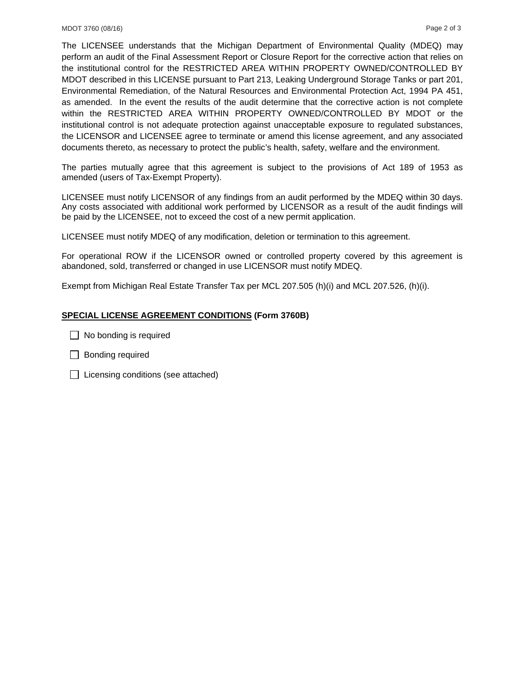The LICENSEE understands that the Michigan Department of Environmental Quality (MDEQ) may perform an audit of the Final Assessment Report or Closure Report for the corrective action that relies on the institutional control for the RESTRICTED AREA WITHIN PROPERTY OWNED/CONTROLLED BY MDOT described in this LICENSE pursuant to Part 213, Leaking Underground Storage Tanks or part 201, Environmental Remediation, of the Natural Resources and Environmental Protection Act, 1994 PA 451, as amended. In the event the results of the audit determine that the corrective action is not complete within the RESTRICTED AREA WITHIN PROPERTY OWNED/CONTROLLED BY MDOT or the institutional control is not adequate protection against unacceptable exposure to regulated substances, the LICENSOR and LICENSEE agree to terminate or amend this license agreement, and any associated documents thereto, as necessary to protect the public's health, safety, welfare and the environment.

The parties mutually agree that this agreement is subject to the provisions of Act 189 of 1953 as amended (users of Tax-Exempt Property).

LICENSEE must notify LICENSOR of any findings from an audit performed by the MDEQ within 30 days. Any costs associated with additional work performed by LICENSOR as a result of the audit findings will be paid by the LICENSEE, not to exceed the cost of a new permit application.

LICENSEE must notify MDEQ of any modification, deletion or termination to this agreement.

For operational ROW if the LICENSOR owned or controlled property covered by this agreement is abandoned, sold, transferred or changed in use LICENSOR must notify MDEQ.

Exempt from Michigan Real Estate Transfer Tax per MCL 207.505 (h)(i) and MCL 207.526, (h)(i).

## **SPECIAL LICENSE AGREEMENT CONDITIONS (Form 3760B)**

 $\Box$  No bonding is required

- $\Box$  Bonding required
- $\Box$  Licensing conditions (see attached)